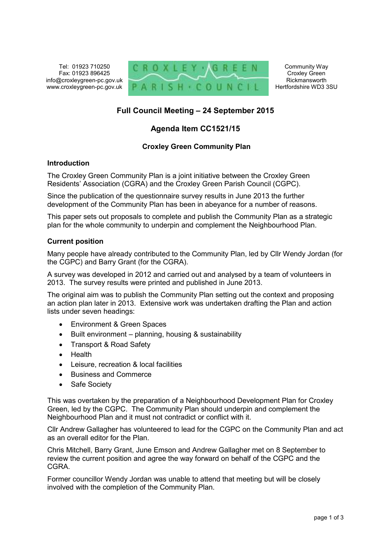Tel: 01923 710250 Fax: 01923 896425 info@croxleygreen-pc.gov.uk www.croxleygreen-pc.gov.uk



Community Way Croxley Green Rickmansworth Hertfordshire WD3 3SU

# **Full Council Meeting – 24 September 2015**

# **Agenda Item CC1521/15**

## **Croxley Green Community Plan**

#### **Introduction**

The Croxley Green Community Plan is a joint initiative between the Croxley Green Residents' Association (CGRA) and the Croxley Green Parish Council (CGPC).

Since the publication of the questionnaire survey results in June 2013 the further development of the Community Plan has been in abeyance for a number of reasons.

This paper sets out proposals to complete and publish the Community Plan as a strategic plan for the whole community to underpin and complement the Neighbourhood Plan.

#### **Current position**

Many people have already contributed to the Community Plan, led by Cllr Wendy Jordan (for the CGPC) and Barry Grant (for the CGRA).

A survey was developed in 2012 and carried out and analysed by a team of volunteers in 2013. The survey results were printed and published in June 2013.

The original aim was to publish the Community Plan setting out the context and proposing an action plan later in 2013. Extensive work was undertaken drafting the Plan and action lists under seven headings:

- Environment & Green Spaces
- Built environment planning, housing & sustainability
- Transport & Road Safety
- Health
- Leisure, recreation & local facilities
- Business and Commerce
- Safe Society

This was overtaken by the preparation of a Neighbourhood Development Plan for Croxley Green, led by the CGPC. The Community Plan should underpin and complement the Neighbourhood Plan and it must not contradict or conflict with it.

Cllr Andrew Gallagher has volunteered to lead for the CGPC on the Community Plan and act as an overall editor for the Plan.

Chris Mitchell, Barry Grant, June Emson and Andrew Gallagher met on 8 September to review the current position and agree the way forward on behalf of the CGPC and the **CGRA** 

Former councillor Wendy Jordan was unable to attend that meeting but will be closely involved with the completion of the Community Plan.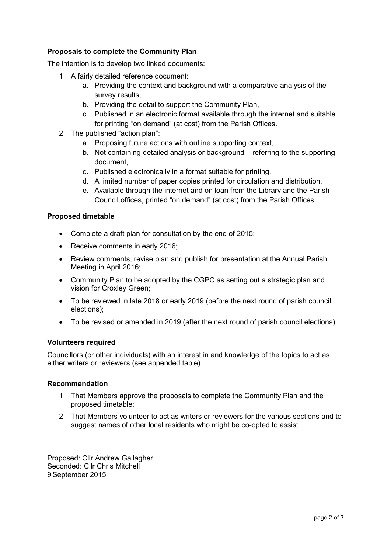## **Proposals to complete the Community Plan**

The intention is to develop two linked documents:

- 1. A fairly detailed reference document:
	- a. Providing the context and background with a comparative analysis of the survey results,
	- b. Providing the detail to support the Community Plan,
	- c. Published in an electronic format available through the internet and suitable for printing "on demand" (at cost) from the Parish Offices.
- 2. The published "action plan":
	- a. Proposing future actions with outline supporting context,
	- b. Not containing detailed analysis or background referring to the supporting document,
	- c. Published electronically in a format suitable for printing,
	- d. A limited number of paper copies printed for circulation and distribution,
	- e. Available through the internet and on loan from the Library and the Parish Council offices, printed "on demand" (at cost) from the Parish Offices.

### **Proposed timetable**

- Complete a draft plan for consultation by the end of 2015;
- Receive comments in early 2016;
- Review comments, revise plan and publish for presentation at the Annual Parish Meeting in April 2016;
- Community Plan to be adopted by the CGPC as setting out a strategic plan and vision for Croxley Green;
- To be reviewed in late 2018 or early 2019 (before the next round of parish council elections);
- To be revised or amended in 2019 (after the next round of parish council elections).

## **Volunteers required**

Councillors (or other individuals) with an interest in and knowledge of the topics to act as either writers or reviewers (see appended table)

#### **Recommendation**

- 1. That Members approve the proposals to complete the Community Plan and the proposed timetable;
- 2. That Members volunteer to act as writers or reviewers for the various sections and to suggest names of other local residents who might be co-opted to assist.

Proposed: Cllr Andrew Gallagher Seconded: Cllr Chris Mitchell 9 September 2015